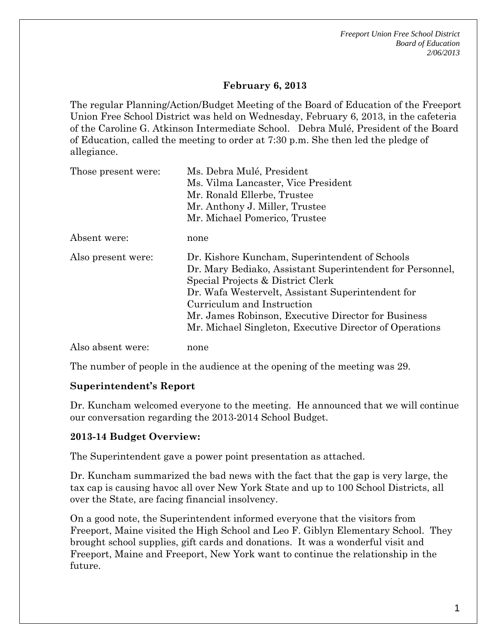*Freeport Union Free School District Board of Education 2/06/2013* 

### **February 6, 2013**

The regular Planning/Action/Budget Meeting of the Board of Education of the Freeport Union Free School District was held on Wednesday, February 6, 2013, in the cafeteria of the Caroline G. Atkinson Intermediate School. Debra Mulé, President of the Board of Education, called the meeting to order at 7:30 p.m. She then led the pledge of allegiance.

| Those present were: | Ms. Debra Mulé, President                                                                                                                                                                             |
|---------------------|-------------------------------------------------------------------------------------------------------------------------------------------------------------------------------------------------------|
|                     | Ms. Vilma Lancaster, Vice President                                                                                                                                                                   |
|                     | Mr. Ronald Ellerbe, Trustee                                                                                                                                                                           |
|                     | Mr. Anthony J. Miller, Trustee                                                                                                                                                                        |
|                     | Mr. Michael Pomerico, Trustee                                                                                                                                                                         |
| Absent were:        | none                                                                                                                                                                                                  |
| Also present were:  | Dr. Kishore Kuncham, Superintendent of Schools<br>Dr. Mary Bediako, Assistant Superintendent for Personnel,<br>Special Projects & District Clerk<br>Dr. Wafa Westervelt, Assistant Superintendent for |
|                     | Curriculum and Instruction                                                                                                                                                                            |
|                     | Mr. James Robinson, Executive Director for Business                                                                                                                                                   |
|                     | Mr. Michael Singleton, Executive Director of Operations                                                                                                                                               |
| Also absent were:   | none                                                                                                                                                                                                  |

The number of people in the audience at the opening of the meeting was 29.

#### **Superintendent's Report**

Dr. Kuncham welcomed everyone to the meeting. He announced that we will continue our conversation regarding the 2013-2014 School Budget.

#### **2013-14 Budget Overview:**

The Superintendent gave a power point presentation as attached.

Dr. Kuncham summarized the bad news with the fact that the gap is very large, the tax cap is causing havoc all over New York State and up to 100 School Districts, all over the State, are facing financial insolvency.

On a good note, the Superintendent informed everyone that the visitors from Freeport, Maine visited the High School and Leo F. Giblyn Elementary School. They brought school supplies, gift cards and donations. It was a wonderful visit and Freeport, Maine and Freeport, New York want to continue the relationship in the future.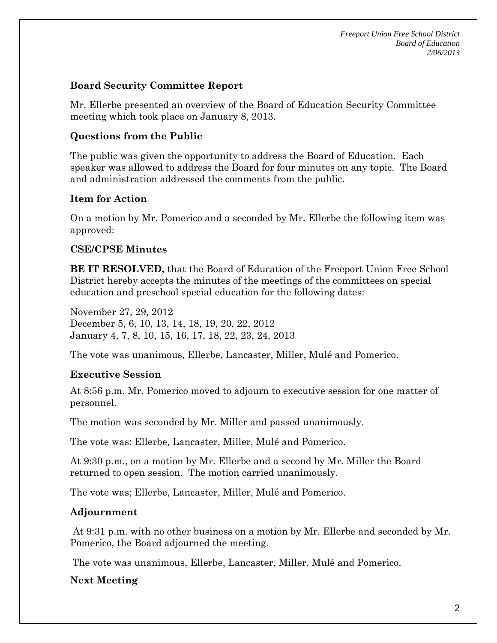*Freeport Union Free School District Board of Education 2/06/2013* 

#### **Board Security Committee Report**

Mr. Ellerbe presented an overview of the Board of Education Security Committee meeting which took place on January 8, 2013.

### **Questions from the Public**

The public was given the opportunity to address the Board of Education. Each speaker was allowed to address the Board for four minutes on any topic. The Board and administration addressed the comments from the public.

# **Item for Action**

On a motion by Mr. Pomerico and a seconded by Mr. Ellerbe the following item was approved:

# **CSE/CPSE Minutes**

**BE IT RESOLVED,** that the Board of Education of the Freeport Union Free School District hereby accepts the minutes of the meetings of the committees on special education and preschool special education for the following dates:

November 27, 29, 2012 December 5, 6, 10, 13, 14, 18, 19, 20, 22, 2012 January 4, 7, 8, 10, 15, 16, 17, 18, 22, 23, 24, 2013

The vote was unanimous, Ellerbe, Lancaster, Miller, Mulé and Pomerico.

#### **Executive Session**

At 8:56 p.m. Mr. Pomerico moved to adjourn to executive session for one matter of personnel.

The motion was seconded by Mr. Miller and passed unanimously.

The vote was: Ellerbe, Lancaster, Miller, Mulé and Pomerico.

At 9:30 p.m., on a motion by Mr. Ellerbe and a second by Mr. Miller the Board returned to open session. The motion carried unanimously.

The vote was; Ellerbe, Lancaster, Miller, Mulé and Pomerico.

# **Adjournment**

 At 9:31 p.m. with no other business on a motion by Mr. Ellerbe and seconded by Mr. Pomerico, the Board adjourned the meeting.

The vote was unanimous, Ellerbe, Lancaster, Miller, Mulé and Pomerico.

# **Next Meeting**